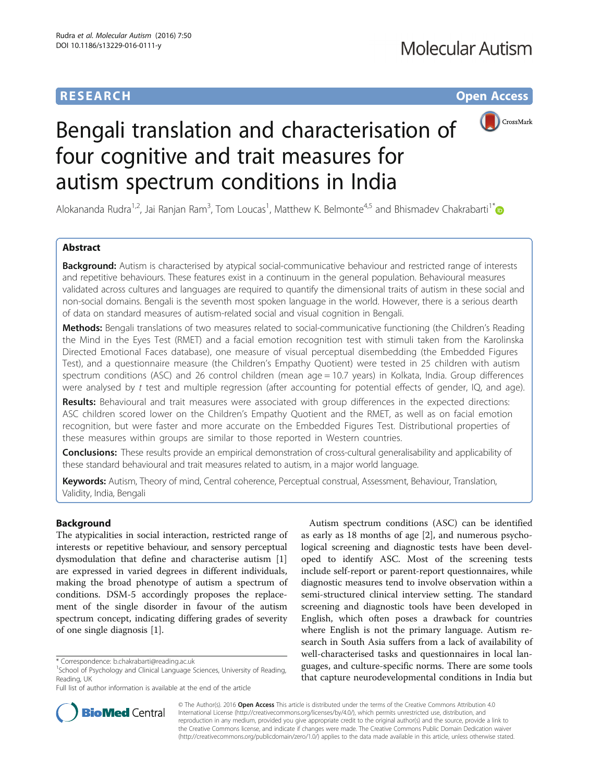## **RESEARCH CHE Open Access**



# Bengali translation and characterisation of four cognitive and trait measures for autism spectrum conditions in India

Alokananda Rudra<sup>1,2</sup>, Jai Ranjan Ram<sup>3</sup>, Tom Loucas<sup>1</sup>, Matthew K. Belmonte<sup>4,5</sup> and Bhismadev Chakrabarti<sup>1[\\*](http://orcid.org/0000-0002-6649-7895)</sup>

## Abstract

Background: Autism is characterised by atypical social-communicative behaviour and restricted range of interests and repetitive behaviours. These features exist in a continuum in the general population. Behavioural measures validated across cultures and languages are required to quantify the dimensional traits of autism in these social and non-social domains. Bengali is the seventh most spoken language in the world. However, there is a serious dearth of data on standard measures of autism-related social and visual cognition in Bengali.

Methods: Bengali translations of two measures related to social-communicative functioning (the Children's Reading the Mind in the Eyes Test (RMET) and a facial emotion recognition test with stimuli taken from the Karolinska Directed Emotional Faces database), one measure of visual perceptual disembedding (the Embedded Figures Test), and a questionnaire measure (the Children's Empathy Quotient) were tested in 25 children with autism spectrum conditions (ASC) and 26 control children (mean age = 10.7 years) in Kolkata, India. Group differences were analysed by t test and multiple regression (after accounting for potential effects of gender, IQ, and age).

Results: Behavioural and trait measures were associated with group differences in the expected directions: ASC children scored lower on the Children's Empathy Quotient and the RMET, as well as on facial emotion recognition, but were faster and more accurate on the Embedded Figures Test. Distributional properties of these measures within groups are similar to those reported in Western countries.

Conclusions: These results provide an empirical demonstration of cross-cultural generalisability and applicability of these standard behavioural and trait measures related to autism, in a major world language.

Keywords: Autism, Theory of mind, Central coherence, Perceptual construal, Assessment, Behaviour, Translation, Validity, India, Bengali

## Background

The atypicalities in social interaction, restricted range of interests or repetitive behaviour, and sensory perceptual dysmodulation that define and characterise autism [\[1](#page-6-0)] are expressed in varied degrees in different individuals, making the broad phenotype of autism a spectrum of conditions. DSM-5 accordingly proposes the replacement of the single disorder in favour of the autism spectrum concept, indicating differing grades of severity of one single diagnosis [\[1](#page-6-0)].

Autism spectrum conditions (ASC) can be identified as early as 18 months of age [\[2\]](#page-6-0), and numerous psychological screening and diagnostic tests have been developed to identify ASC. Most of the screening tests include self-report or parent-report questionnaires, while diagnostic measures tend to involve observation within a semi-structured clinical interview setting. The standard screening and diagnostic tools have been developed in English, which often poses a drawback for countries where English is not the primary language. Autism research in South Asia suffers from a lack of availability of well-characterised tasks and questionnaires in local languages, and culture-specific norms. There are some tools that capture neurodevelopmental conditions in India but



© The Author(s). 2016 Open Access This article is distributed under the terms of the Creative Commons Attribution 4.0 International License [\(http://creativecommons.org/licenses/by/4.0/](http://creativecommons.org/licenses/by/4.0/)), which permits unrestricted use, distribution, and reproduction in any medium, provided you give appropriate credit to the original author(s) and the source, provide a link to the Creative Commons license, and indicate if changes were made. The Creative Commons Public Domain Dedication waiver [\(http://creativecommons.org/publicdomain/zero/1.0/](http://creativecommons.org/publicdomain/zero/1.0/)) applies to the data made available in this article, unless otherwise stated.

<sup>\*</sup> Correspondence: [b.chakrabarti@reading.ac.uk](mailto:b.chakrabarti@reading.ac.uk) <sup>1</sup>

 $1$ School of Psychology and Clinical Language Sciences, University of Reading, Reading, UK

Full list of author information is available at the end of the article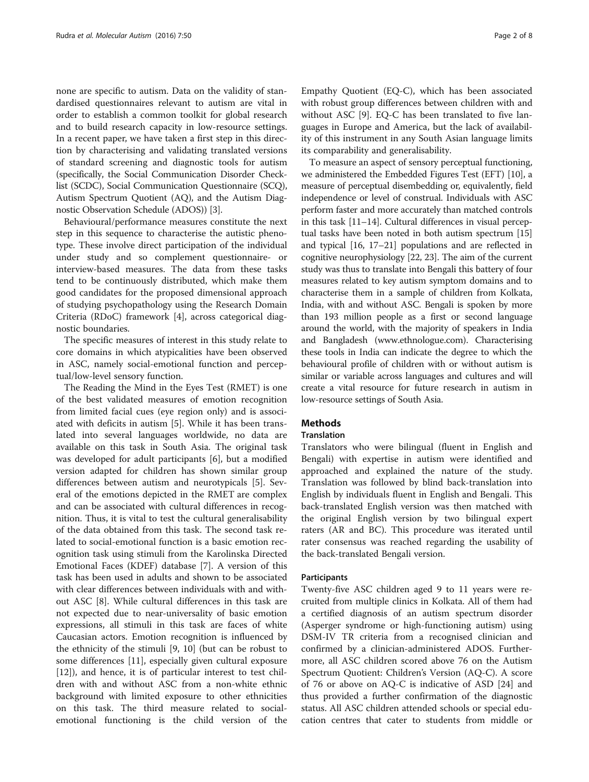none are specific to autism. Data on the validity of standardised questionnaires relevant to autism are vital in order to establish a common toolkit for global research and to build research capacity in low-resource settings. In a recent paper, we have taken a first step in this direction by characterising and validating translated versions of standard screening and diagnostic tools for autism (specifically, the Social Communication Disorder Checklist (SCDC), Social Communication Questionnaire (SCQ), Autism Spectrum Quotient (AQ), and the Autism Diagnostic Observation Schedule (ADOS)) [\[3\]](#page-6-0).

Behavioural/performance measures constitute the next step in this sequence to characterise the autistic phenotype. These involve direct participation of the individual under study and so complement questionnaire- or interview-based measures. The data from these tasks tend to be continuously distributed, which make them good candidates for the proposed dimensional approach of studying psychopathology using the Research Domain Criteria (RDoC) framework [[4\]](#page-6-0), across categorical diagnostic boundaries.

The specific measures of interest in this study relate to core domains in which atypicalities have been observed in ASC, namely social-emotional function and perceptual/low-level sensory function.

The Reading the Mind in the Eyes Test (RMET) is one of the best validated measures of emotion recognition from limited facial cues (eye region only) and is associated with deficits in autism [\[5\]](#page-6-0). While it has been translated into several languages worldwide, no data are available on this task in South Asia. The original task was developed for adult participants [\[6\]](#page-6-0), but a modified version adapted for children has shown similar group differences between autism and neurotypicals [[5\]](#page-6-0). Several of the emotions depicted in the RMET are complex and can be associated with cultural differences in recognition. Thus, it is vital to test the cultural generalisability of the data obtained from this task. The second task related to social-emotional function is a basic emotion recognition task using stimuli from the Karolinska Directed Emotional Faces (KDEF) database [[7](#page-6-0)]. A version of this task has been used in adults and shown to be associated with clear differences between individuals with and without ASC [\[8](#page-6-0)]. While cultural differences in this task are not expected due to near-universality of basic emotion expressions, all stimuli in this task are faces of white Caucasian actors. Emotion recognition is influenced by the ethnicity of the stimuli [[9](#page-6-0), [10\]](#page-6-0) (but can be robust to some differences [[11](#page-6-0)], especially given cultural exposure [[12\]](#page-6-0)), and hence, it is of particular interest to test children with and without ASC from a non-white ethnic background with limited exposure to other ethnicities on this task. The third measure related to socialemotional functioning is the child version of the

Empathy Quotient (EQ-C), which has been associated with robust group differences between children with and without ASC [[9\]](#page-6-0). EQ-C has been translated to five languages in Europe and America, but the lack of availability of this instrument in any South Asian language limits its comparability and generalisability.

To measure an aspect of sensory perceptual functioning, we administered the Embedded Figures Test (EFT) [\[10](#page-6-0)], a measure of perceptual disembedding or, equivalently, field independence or level of construal. Individuals with ASC perform faster and more accurately than matched controls in this task [[11](#page-6-0)–[14\]](#page-6-0). Cultural differences in visual perceptual tasks have been noted in both autism spectrum [[15](#page-6-0)] and typical [\[16, 17](#page-6-0)–[21](#page-7-0)] populations and are reflected in cognitive neurophysiology [\[22, 23](#page-7-0)]. The aim of the current study was thus to translate into Bengali this battery of four measures related to key autism symptom domains and to characterise them in a sample of children from Kolkata, India, with and without ASC. Bengali is spoken by more than 193 million people as a first or second language around the world, with the majority of speakers in India and Bangladesh [\(www.ethnologue.com](http://www.ethnologue.com/)). Characterising these tools in India can indicate the degree to which the behavioural profile of children with or without autism is similar or variable across languages and cultures and will create a vital resource for future research in autism in low-resource settings of South Asia.

## **Methods**

## **Translation**

Translators who were bilingual (fluent in English and Bengali) with expertise in autism were identified and approached and explained the nature of the study. Translation was followed by blind back-translation into English by individuals fluent in English and Bengali. This back-translated English version was then matched with the original English version by two bilingual expert raters (AR and BC). This procedure was iterated until rater consensus was reached regarding the usability of the back-translated Bengali version.

## Participants

Twenty-five ASC children aged 9 to 11 years were recruited from multiple clinics in Kolkata. All of them had a certified diagnosis of an autism spectrum disorder (Asperger syndrome or high-functioning autism) using DSM-IV TR criteria from a recognised clinician and confirmed by a clinician-administered ADOS. Furthermore, all ASC children scored above 76 on the Autism Spectrum Quotient: Children's Version (AQ-C). A score of 76 or above on AQ-C is indicative of ASD [\[24](#page-7-0)] and thus provided a further confirmation of the diagnostic status. All ASC children attended schools or special education centres that cater to students from middle or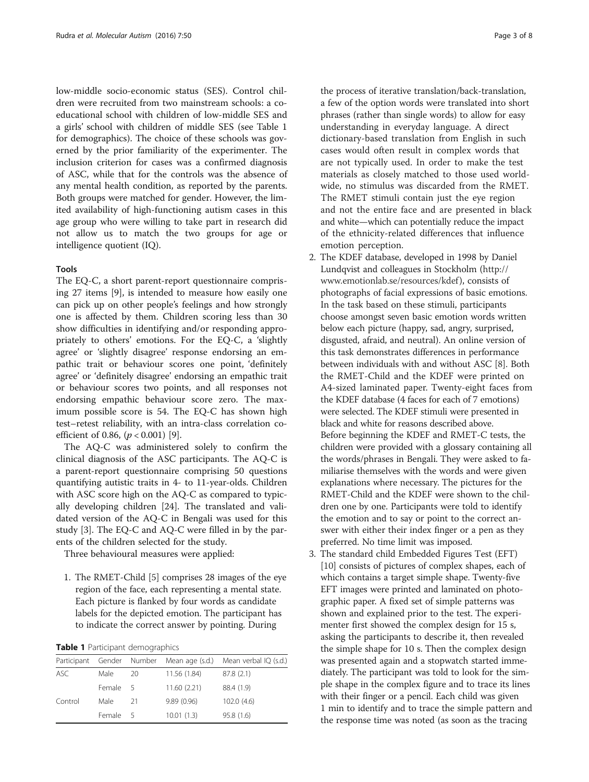<span id="page-2-0"></span>low-middle socio-economic status (SES). Control children were recruited from two mainstream schools: a coeducational school with children of low-middle SES and a girls' school with children of middle SES (see Table 1 for demographics). The choice of these schools was governed by the prior familiarity of the experimenter. The inclusion criterion for cases was a confirmed diagnosis of ASC, while that for the controls was the absence of any mental health condition, as reported by the parents. Both groups were matched for gender. However, the limited availability of high-functioning autism cases in this age group who were willing to take part in research did not allow us to match the two groups for age or intelligence quotient (IQ).

## Tools

The EQ-C, a short parent-report questionnaire comprising 27 items [\[9](#page-6-0)], is intended to measure how easily one can pick up on other people's feelings and how strongly one is affected by them. Children scoring less than 30 show difficulties in identifying and/or responding appropriately to others' emotions. For the EQ-C, a 'slightly agree' or 'slightly disagree' response endorsing an empathic trait or behaviour scores one point, 'definitely agree' or 'definitely disagree' endorsing an empathic trait or behaviour scores two points, and all responses not endorsing empathic behaviour score zero. The maximum possible score is 54. The EQ-C has shown high test–retest reliability, with an intra-class correlation coefficient of 0.86,  $(p < 0.001)$  [[9\]](#page-6-0).

The AQ-C was administered solely to confirm the clinical diagnosis of the ASC participants. The AQ-C is a parent-report questionnaire comprising 50 questions quantifying autistic traits in 4- to 11-year-olds. Children with ASC score high on the AQ-C as compared to typically developing children [\[24](#page-7-0)]. The translated and validated version of the AQ-C in Bengali was used for this study [[3\]](#page-6-0). The EQ-C and AQ-C were filled in by the parents of the children selected for the study.

Three behavioural measures were applied:

1. The RMET-Child [\[5](#page-6-0)] comprises 28 images of the eye region of the face, each representing a mental state. Each picture is flanked by four words as candidate labels for the depicted emotion. The participant has to indicate the correct answer by pointing. During

#### Table 1 Participant demographics

| Participant Gender Number |          |    |              | Mean age (s.d.) Mean verbal IQ (s.d.) |
|---------------------------|----------|----|--------------|---------------------------------------|
| ASC                       | Male     | 20 | 11.56 (1.84) | 87.8(2.1)                             |
|                           | Female 5 |    | 11.60(2.21)  | 88.4 (1.9)                            |
| Control                   | Male     | 21 | 9.89(0.96)   | 102.0(4.6)                            |
|                           | Female 5 |    | 10.01(1.3)   | 95.8(1.6)                             |

the process of iterative translation/back-translation, a few of the option words were translated into short phrases (rather than single words) to allow for easy understanding in everyday language. A direct dictionary-based translation from English in such cases would often result in complex words that are not typically used. In order to make the test materials as closely matched to those used worldwide, no stimulus was discarded from the RMET. The RMET stimuli contain just the eye region and not the entire face and are presented in black and white—which can potentially reduce the impact of the ethnicity-related differences that influence emotion perception.

- 2. The KDEF database, developed in 1998 by Daniel Lundqvist and colleagues in Stockholm [\(http://](http://www.emotionlab.se/resources/kdef) [www.emotionlab.se/resources/kdef](http://www.emotionlab.se/resources/kdef)), consists of photographs of facial expressions of basic emotions. In the task based on these stimuli, participants choose amongst seven basic emotion words written below each picture (happy, sad, angry, surprised, disgusted, afraid, and neutral). An online version of this task demonstrates differences in performance between individuals with and without ASC [[8](#page-6-0)]. Both the RMET-Child and the KDEF were printed on A4-sized laminated paper. Twenty-eight faces from the KDEF database (4 faces for each of 7 emotions) were selected. The KDEF stimuli were presented in black and white for reasons described above. Before beginning the KDEF and RMET-C tests, the children were provided with a glossary containing all the words/phrases in Bengali. They were asked to familiarise themselves with the words and were given explanations where necessary. The pictures for the RMET-Child and the KDEF were shown to the children one by one. Participants were told to identify the emotion and to say or point to the correct answer with either their index finger or a pen as they preferred. No time limit was imposed.
- 3. The standard child Embedded Figures Test (EFT) [[10](#page-6-0)] consists of pictures of complex shapes, each of which contains a target simple shape. Twenty-five EFT images were printed and laminated on photographic paper. A fixed set of simple patterns was shown and explained prior to the test. The experimenter first showed the complex design for 15 s, asking the participants to describe it, then revealed the simple shape for 10 s. Then the complex design was presented again and a stopwatch started immediately. The participant was told to look for the simple shape in the complex figure and to trace its lines with their finger or a pencil. Each child was given 1 min to identify and to trace the simple pattern and the response time was noted (as soon as the tracing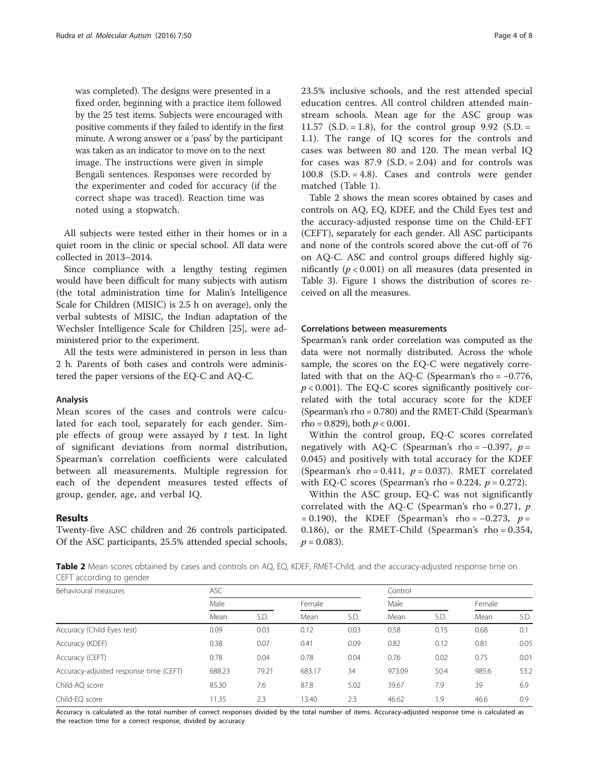<span id="page-3-0"></span>was completed). The designs were presented in a fixed order, beginning with a practice item followed by the 25 test items. Subjects were encouraged with positive comments if they failed to identify in the first minute. A wrong answer or a 'pass' by the participant was taken as an indicator to move on to the next image. The instructions were given in simple Bengali sentences. Responses were recorded by the experimenter and coded for accuracy (if the correct shape was traced). Reaction time was noted using a stopwatch.

All subjects were tested either in their homes or in a quiet room in the clinic or special school. All data were collected in 2013–2014.

Since compliance with a lengthy testing regimen would have been difficult for many subjects with autism (the total administration time for Malin's Intelligence Scale for Children (MISIC) is 2.5 h on average), only the verbal subtests of MISIC, the Indian adaptation of the Wechsler Intelligence Scale for Children [[25](#page-7-0)], were administered prior to the experiment.

All the tests were administered in person in less than 2 h. Parents of both cases and controls were administered the paper versions of the EQ-C and AQ-C.

### Analysis

Mean scores of the cases and controls were calculated for each tool, separately for each gender. Simple effects of group were assayed by  $t$  test. In light of significant deviations from normal distribution, Spearman's correlation coefficients were calculated between all measurements. Multiple regression for each of the dependent measures tested effects of group, gender, age, and verbal IQ.

#### Results

Twenty-five ASC children and 26 controls participated. Of the ASC participants, 25.5% attended special schools, 23.5% inclusive schools, and the rest attended special education centres. All control children attended mainstream schools. Mean age for the ASC group was 11.57 (S.D. = 1.8), for the control group  $9.92$  (S.D. = 1.1). The range of IQ scores for the controls and cases was between 80 and 120. The mean verbal IQ for cases was  $87.9$  (S.D. = 2.04) and for controls was 100.8 (S.D. = 4.8). Cases and controls were gender matched (Table [1](#page-2-0)).

Table 2 shows the mean scores obtained by cases and controls on AQ, EQ, KDEF, and the Child Eyes test and the accuracy-adjusted response time on the Child-EFT (CEFT), separately for each gender. All ASC participants and none of the controls scored above the cut-off of 76 on AQ-C. ASC and control groups differed highly significantly ( $p < 0.001$ ) on all measures (data presented in Table [3](#page-4-0)). Figure [1](#page-4-0) shows the distribution of scores received on all the measures.

## Correlations between measurements

Spearman's rank order correlation was computed as the data were not normally distributed. Across the whole sample, the scores on the EQ-C were negatively correlated with that on the AQ-C (Spearman's rho = −0.776,  $p < 0.001$ ). The EQ-C scores significantly positively correlated with the total accuracy score for the KDEF (Spearman's rho = 0.780) and the RMET-Child (Spearman's rho = 0.829), both  $p < 0.001$ .

Within the control group, EQ-C scores correlated negatively with AQ-C (Spearman's rho =  $-0.397$ ,  $p =$ 0.045) and positively with total accuracy for the KDEF (Spearman's rho = 0.411,  $p = 0.037$ ). RMET correlated with EQ-C scores (Spearman's rho =  $0.224$ ,  $p = 0.272$ ).

Within the ASC group, EQ-C was not significantly correlated with the AQ-C (Spearman's rho =  $0.271$ , p  $= 0.190$ ), the KDEF (Spearman's rho =  $-0.273$ , p = 0.186), or the RMET-Child (Spearman's rho = 0.354,  $p = 0.083$ ).

Table 2 Mean scores obtained by cases and controls on AQ, EQ, KDEF, RMET-Child, and the accuracy-adjusted response time on CEFT according to gender

| Behavioural measures                   | <b>ASC</b> |       |        |      | Control |      |        |      |  |
|----------------------------------------|------------|-------|--------|------|---------|------|--------|------|--|
|                                        | Male       |       | Female |      | Male    |      | Female |      |  |
|                                        | Mean       | S.D.  | Mean   | S.D. | Mean    | S.D. | Mean   | S.D. |  |
| Accuracy (Child Eyes test)             | 0.09       | 0.03  | 0.12   | 0.03 | 0.58    | 0.15 | 0.68   | 0.1  |  |
| Accuracy (KDEF)                        | 0.38       | 0.07  | 0.41   | 0.09 | 0.82    | 0.12 | 0.81   | 0.05 |  |
| Accuracy (CEFT)                        | 0.78       | 0.04  | 0.78   | 0.04 | 0.76    | 0.02 | 0.75   | 0.01 |  |
| Accuracy-adjusted response time (CEFT) | 688.23     | 79.21 | 683.17 | 34   | 973.09  | 50.4 | 985.6  | 53.2 |  |
| Child-AO score                         | 85.30      | 7.6   | 87.8   | 5.02 | 39.67   | 7.9  | 39     | 6.9  |  |
| Child-EO score                         | 11.35      | 2.3   | 13.40  | 2.3  | 46.62   | 1.9  | 46.6   | 0.9  |  |

Accuracy is calculated as the total number of correct responses divided by the total number of items. Accuracy-adjusted response time is calculated as the reaction time for a correct response, divided by accuracy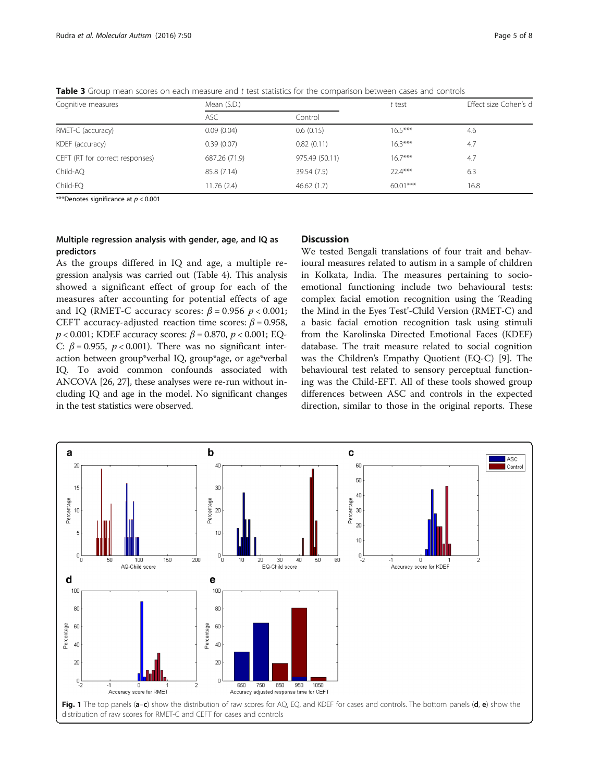<span id="page-4-0"></span>Table 3 Group mean scores on each measure and  $t$  test statistics for the comparison between cases and controls

| Cognitive measures              | Mean (S.D.)   |                | t test    | Effect size Cohen's d |  |  |
|---------------------------------|---------------|----------------|-----------|-----------------------|--|--|
|                                 | <b>ASC</b>    | Control        |           |                       |  |  |
| RMET-C (accuracy)               | 0.09(0.04)    | 0.6(0.15)      | $16.5***$ | 4.6                   |  |  |
| KDEF (accuracy)                 | 0.39(0.07)    | 0.82(0.11)     | $16.3***$ | 4.7                   |  |  |
| CEFT (RT for correct responses) | 687.26 (71.9) | 975.49 (50.11) | $16.7***$ | 4.7                   |  |  |
| Child-AQ                        | 85.8 (7.14)   | 39.54 (7.5)    | $22.4***$ | 6.3                   |  |  |
| Child-EQ                        | 11.76(2.4)    | 46.62(1.7)     | 60.01***  | 16.8                  |  |  |

\*\*\*Denotes significance at  $p < 0.001$ 

## Multiple regression analysis with gender, age, and IQ as predictors

## As the groups differed in IQ and age, a multiple regression analysis was carried out (Table [4](#page-5-0)). This analysis showed a significant effect of group for each of the measures after accounting for potential effects of age and IQ (RMET-C accuracy scores:  $\beta$  = 0.956  $p$  < 0.001; CEFT accuracy-adjusted reaction time scores:  $\beta$  = 0.958,  $p$  < 0.001; KDEF accuracy scores:  $β = 0.870$ ,  $p$  < 0.001; EQ-C:  $\beta$  = 0.955,  $p < 0.001$ ). There was no significant interaction between group\*verbal IQ, group\*age, or age\*verbal IQ. To avoid common confounds associated with ANCOVA [\[26, 27](#page-7-0)], these analyses were re-run without including IQ and age in the model. No significant changes in the test statistics were observed.

## **Discussion**

We tested Bengali translations of four trait and behavioural measures related to autism in a sample of children in Kolkata, India. The measures pertaining to socioemotional functioning include two behavioural tests: complex facial emotion recognition using the 'Reading the Mind in the Eyes Test'-Child Version (RMET-C) and a basic facial emotion recognition task using stimuli from the Karolinska Directed Emotional Faces (KDEF) database. The trait measure related to social cognition was the Children's Empathy Quotient (EQ-C) [[9](#page-6-0)]. The behavioural test related to sensory perceptual functioning was the Child-EFT. All of these tools showed group differences between ASC and controls in the expected direction, similar to those in the original reports. These

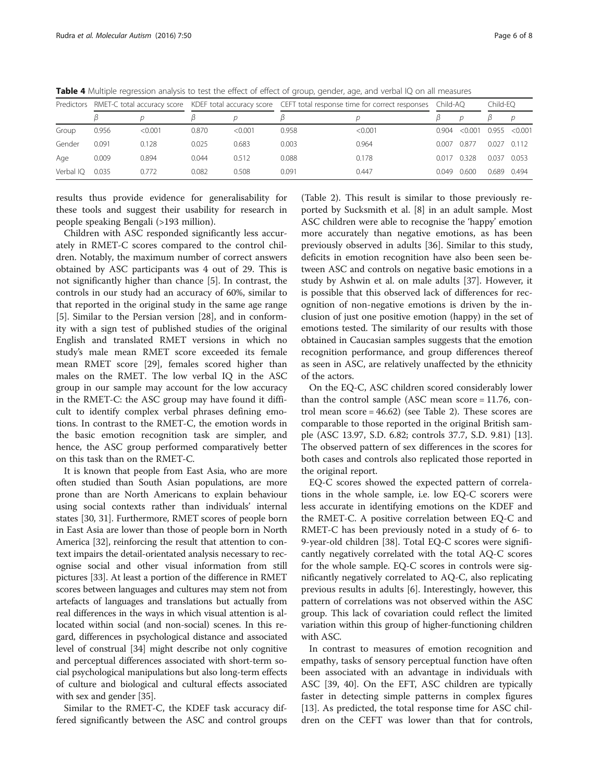| Predictors |       |         |       |         | RMET-C total accuracy score KDEF total accuracy score CEFT total response time for correct responses Child-AQ |         |       |         | Child-EO |               |
|------------|-------|---------|-------|---------|---------------------------------------------------------------------------------------------------------------|---------|-------|---------|----------|---------------|
|            |       |         |       |         |                                                                                                               |         |       | D       |          |               |
| Group      | 0.956 | < 0.001 | 0.870 | < 0.001 | 0.958                                                                                                         | < 0.001 | 0.904 | < 0.001 |          | 0.955 < 0.001 |
| Gender     | 0.091 | 0.128   | 0.025 | 0.683   | 0.003                                                                                                         | 0.964   | 0.007 | 0.877   |          | $0.027$ 0.112 |
| Age        | 0.009 | 0.894   | 0.044 | 0.512   | 0.088                                                                                                         | 0.178   | 0017  | 0.328   | 0.037    | 0.053         |
| Verbal IO  | 0.035 | 0.772   | 0.082 | 0.508   | 0.091                                                                                                         | 0.447   | 0.049 | 0.600   | 0.689    | 0.494         |

<span id="page-5-0"></span>Table 4 Multiple regression analysis to test the effect of effect of group, gender, age, and verbal IQ on all measures

results thus provide evidence for generalisability for these tools and suggest their usability for research in people speaking Bengali (>193 million).

Children with ASC responded significantly less accurately in RMET-C scores compared to the control children. Notably, the maximum number of correct answers obtained by ASC participants was 4 out of 29. This is not significantly higher than chance [[5\]](#page-6-0). In contrast, the controls in our study had an accuracy of 60%, similar to that reported in the original study in the same age range [[5\]](#page-6-0). Similar to the Persian version [[28](#page-7-0)], and in conformity with a sign test of published studies of the original English and translated RMET versions in which no study's male mean RMET score exceeded its female mean RMET score [[29\]](#page-7-0), females scored higher than males on the RMET. The low verbal IQ in the ASC group in our sample may account for the low accuracy in the RMET-C: the ASC group may have found it difficult to identify complex verbal phrases defining emotions. In contrast to the RMET-C, the emotion words in the basic emotion recognition task are simpler, and hence, the ASC group performed comparatively better on this task than on the RMET-C.

It is known that people from East Asia, who are more often studied than South Asian populations, are more prone than are North Americans to explain behaviour using social contexts rather than individuals' internal states [\[30, 31\]](#page-7-0). Furthermore, RMET scores of people born in East Asia are lower than those of people born in North America [[32\]](#page-7-0), reinforcing the result that attention to context impairs the detail-orientated analysis necessary to recognise social and other visual information from still pictures [\[33\]](#page-7-0). At least a portion of the difference in RMET scores between languages and cultures may stem not from artefacts of languages and translations but actually from real differences in the ways in which visual attention is allocated within social (and non-social) scenes. In this regard, differences in psychological distance and associated level of construal [[34](#page-7-0)] might describe not only cognitive and perceptual differences associated with short-term social psychological manipulations but also long-term effects of culture and biological and cultural effects associated with sex and gender [[35](#page-7-0)].

Similar to the RMET-C, the KDEF task accuracy differed significantly between the ASC and control groups

(Table [2](#page-3-0)). This result is similar to those previously reported by Sucksmith et al. [[8\]](#page-6-0) in an adult sample. Most ASC children were able to recognise the 'happy' emotion more accurately than negative emotions, as has been previously observed in adults [[36\]](#page-7-0). Similar to this study, deficits in emotion recognition have also been seen between ASC and controls on negative basic emotions in a study by Ashwin et al. on male adults [\[37\]](#page-7-0). However, it is possible that this observed lack of differences for recognition of non-negative emotions is driven by the inclusion of just one positive emotion (happy) in the set of emotions tested. The similarity of our results with those obtained in Caucasian samples suggests that the emotion recognition performance, and group differences thereof as seen in ASC, are relatively unaffected by the ethnicity of the actors.

On the EQ-C, ASC children scored considerably lower than the control sample (ASC mean score = 11.76, control mean score =  $46.62$ ) (see Table [2](#page-3-0)). These scores are comparable to those reported in the original British sample (ASC 13.97, S.D. 6.82; controls 37.7, S.D. 9.81) [\[13](#page-6-0)]. The observed pattern of sex differences in the scores for both cases and controls also replicated those reported in the original report.

EQ-C scores showed the expected pattern of correlations in the whole sample, i.e. low EQ-C scorers were less accurate in identifying emotions on the KDEF and the RMET-C. A positive correlation between EQ-C and RMET-C has been previously noted in a study of 6- to 9-year-old children [[38](#page-7-0)]. Total EQ-C scores were significantly negatively correlated with the total AQ-C scores for the whole sample. EQ-C scores in controls were significantly negatively correlated to AQ-C, also replicating previous results in adults [[6\]](#page-6-0). Interestingly, however, this pattern of correlations was not observed within the ASC group. This lack of covariation could reflect the limited variation within this group of higher-functioning children with ASC.

In contrast to measures of emotion recognition and empathy, tasks of sensory perceptual function have often been associated with an advantage in individuals with ASC [\[39](#page-7-0), [40\]](#page-7-0). On the EFT, ASC children are typically faster in detecting simple patterns in complex figures [[13\]](#page-6-0). As predicted, the total response time for ASC children on the CEFT was lower than that for controls,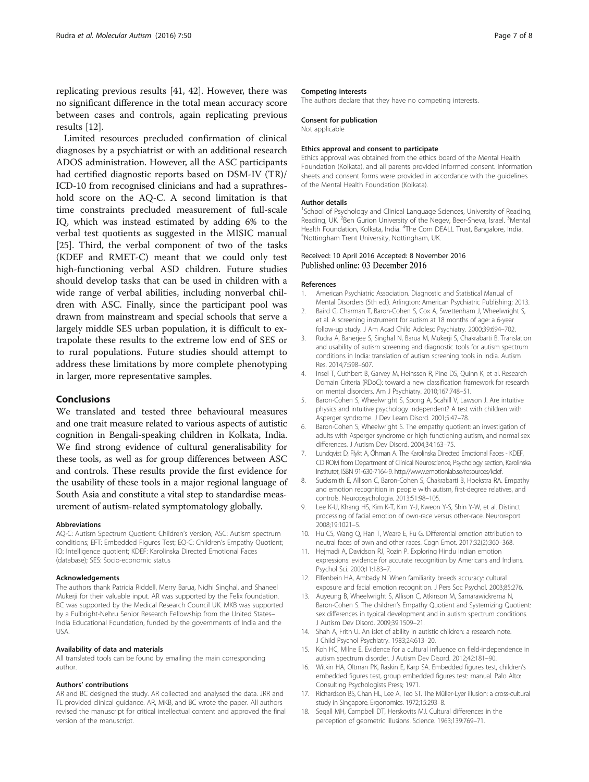<span id="page-6-0"></span>replicating previous results [\[41, 42](#page-7-0)]. However, there was no significant difference in the total mean accuracy score between cases and controls, again replicating previous results [12].

Limited resources precluded confirmation of clinical diagnoses by a psychiatrist or with an additional research ADOS administration. However, all the ASC participants had certified diagnostic reports based on DSM-IV (TR)/ ICD-10 from recognised clinicians and had a suprathreshold score on the AQ-C. A second limitation is that time constraints precluded measurement of full-scale IQ, which was instead estimated by adding 6% to the verbal test quotients as suggested in the MISIC manual [[25\]](#page-7-0). Third, the verbal component of two of the tasks (KDEF and RMET-C) meant that we could only test high-functioning verbal ASD children. Future studies should develop tasks that can be used in children with a wide range of verbal abilities, including nonverbal children with ASC. Finally, since the participant pool was drawn from mainstream and special schools that serve a largely middle SES urban population, it is difficult to extrapolate these results to the extreme low end of SES or to rural populations. Future studies should attempt to address these limitations by more complete phenotyping in larger, more representative samples.

## Conclusions

We translated and tested three behavioural measures and one trait measure related to various aspects of autistic cognition in Bengali-speaking children in Kolkata, India. We find strong evidence of cultural generalisability for these tools, as well as for group differences between ASC and controls. These results provide the first evidence for the usability of these tools in a major regional language of South Asia and constitute a vital step to standardise measurement of autism-related symptomatology globally.

#### Abbreviations

AQ-C: Autism Spectrum Quotient: Children's Version; ASC: Autism spectrum conditions; EFT: Embedded Figures Test; EQ-C: Children's Empathy Quotient; IQ: Intelligence quotient; KDEF: Karolinska Directed Emotional Faces (database); SES: Socio-economic status

#### Acknowledgements

The authors thank Patricia Riddell, Merry Barua, Nidhi Singhal, and Shaneel Mukerji for their valuable input. AR was supported by the Felix foundation. BC was supported by the Medical Research Council UK. MKB was supported by a Fulbright-Nehru Senior Research Fellowship from the United States– India Educational Foundation, funded by the governments of India and the USA.

#### Availability of data and materials

All translated tools can be found by emailing the main corresponding author.

#### Authors' contributions

AR and BC designed the study. AR collected and analysed the data. JRR and TL provided clinical guidance. AR, MKB, and BC wrote the paper. All authors revised the manuscript for critical intellectual content and approved the final version of the manuscript.

#### Competing interests

The authors declare that they have no competing interests.

#### Consent for publication

Not applicable

#### Ethics approval and consent to participate

Ethics approval was obtained from the ethics board of the Mental Health Foundation (Kolkata), and all parents provided informed consent. Information sheets and consent forms were provided in accordance with the guidelines of the Mental Health Foundation (Kolkata).

#### Author details

<sup>1</sup>School of Psychology and Clinical Language Sciences, University of Reading, Reading, UK.<sup>2</sup> Ben Gurion University of the Negev, Beer-Sheva, Israel.<sup>3</sup> Mental Health Foundation, Kolkata, India. <sup>4</sup>The Com DEALL Trust, Bangalore, India Nottingham Trent University, Nottingham, UK.

### Received: 10 April 2016 Accepted: 8 November 2016 Published online: 03 December 2016

#### References

- 1. American Psychiatric Association. Diagnostic and Statistical Manual of Mental Disorders (5th ed.). Arlington: American Psychiatric Publishing; 2013.
- 2. Baird G, Charman T, Baron-Cohen S, Cox A, Swettenham J, Wheelwright S, et al. A screening instrument for autism at 18 months of age: a 6-year follow-up study. J Am Acad Child Adolesc Psychiatry. 2000;39:694–702.
- Rudra A, Banerjee S, Singhal N, Barua M, Mukerji S, Chakrabarti B. Translation and usability of autism screening and diagnostic tools for autism spectrum conditions in India: translation of autism screening tools in India. Autism Res. 2014;7:598–607.
- 4. Insel T, Cuthbert B, Garvey M, Heinssen R, Pine DS, Quinn K, et al. Research Domain Criteria (RDoC): toward a new classification framework for research on mental disorders. Am J Psychiatry. 2010;167:748–51.
- 5. Baron-Cohen S, Wheelwright S, Spong A, Scahill V, Lawson J. Are intuitive physics and intuitive psychology independent? A test with children with Asperger syndrome. J Dev Learn Disord. 2001;5:47–78.
- 6. Baron-Cohen S, Wheelwright S. The empathy quotient: an investigation of adults with Asperger syndrome or high functioning autism, and normal sex differences. J Autism Dev Disord. 2004;34:163–75.
- 7. Lundqvist D, Flykt A, Öhman A. The Karolinska Directed Emotional Faces KDEF, CD ROM from Department of Clinical Neuroscience, Psychology section, Karolinska Institutet, ISBN 91-630-7164-9.<http://www.emotionlab.se/resources/kdef>.
- 8. Sucksmith E, Allison C, Baron-Cohen S, Chakrabarti B, Hoekstra RA. Empathy and emotion recognition in people with autism, first-degree relatives, and controls. Neuropsychologia. 2013;51:98–105.
- 9. Lee K-U, Khang HS, Kim K-T, Kim Y-J, Kweon Y-S, Shin Y-W, et al. Distinct processing of facial emotion of own-race versus other-race. Neuroreport. 2008;19:1021–5.
- 10. Hu CS, Wang Q, Han T, Weare E, Fu G. Differential emotion attribution to neutral faces of own and other races. Cogn Emot. 2017;32(2):360–368.
- 11. Hejmadi A, Davidson RJ, Rozin P. Exploring Hindu Indian emotion expressions: evidence for accurate recognition by Americans and Indians. Psychol Sci. 2000;11:183–7.
- 12. Elfenbein HA, Ambady N. When familiarity breeds accuracy: cultural exposure and facial emotion recognition. J Pers Soc Psychol. 2003;85:276.
- 13. Auyeung B, Wheelwright S, Allison C, Atkinson M, Samarawickrema N, Baron-Cohen S. The children's Empathy Quotient and Systemizing Quotient: sex differences in typical development and in autism spectrum conditions. J Autism Dev Disord. 2009;39:1509–21.
- 14. Shah A, Frith U. An islet of ability in autistic children: a research note. J Child Psychol Psychiatry. 1983;24:613–20.
- 15. Koh HC, Milne E. Evidence for a cultural influence on field-independence in autism spectrum disorder. J Autism Dev Disord. 2012;42:181–90.
- 16. Witkin HA, Oltman PK, Raskin E, Karp SA. Embedded figures test, children's embedded figures test, group embedded figures test: manual. Palo Alto: Consulting Psychologists Press; 1971.
- 17. Richardson BS, Chan HL, Lee A, Teo ST. The Müller-Lyer illusion: a cross-cultural study in Singapore. Ergonomics. 1972;15:293–8.
- 18. Segall MH, Campbell DT, Herskovits MJ. Cultural differences in the perception of geometric illusions. Science. 1963;139:769–71.